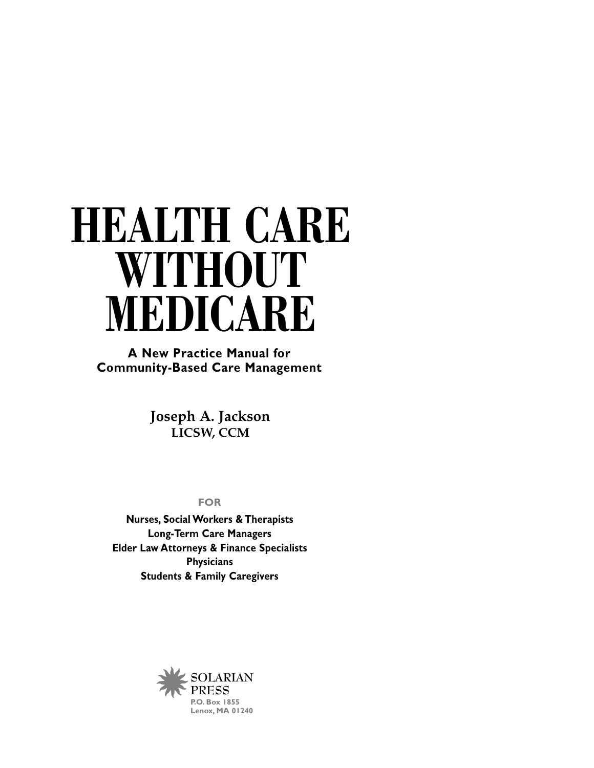# **HEALTH CARE WITHOUT MEDICARE**

**A New Practice Manual for Community-Based Care Management**

> **Joseph A. Jackson LICSW, CCM**

> > **FOR**

**Nurses, Social Workers & Therapists Long-Term Care Managers Elder Law Attorneys & Finance Specialists Physicians Students & Family Caregivers**

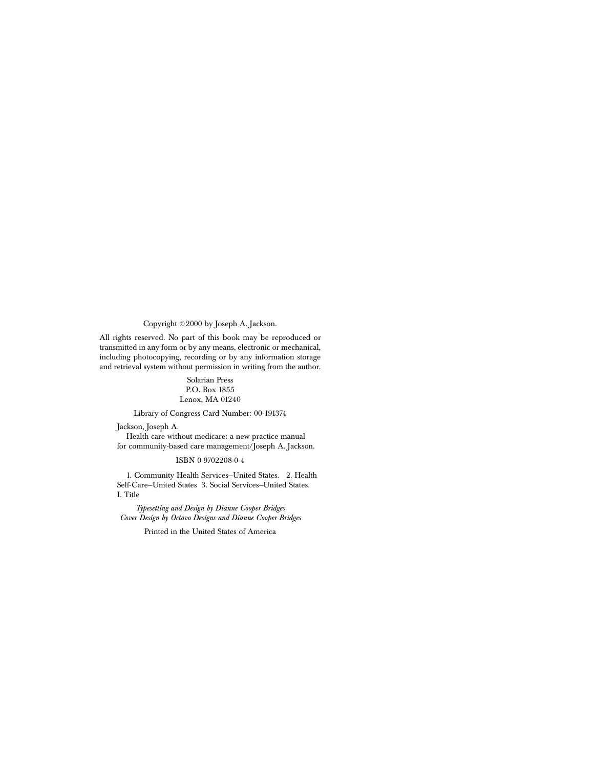## Copyright ©2000 by Joseph A. Jackson.

All rights reserved. No part of this book may be reproduced or transmitted in any form or by any means, electronic or mechanical, including photocopying, recording or by any information storage and retrieval system without permission in writing from the author.

> Solarian Press P.O. Box 1855 Lenox, MA 01240

## Library of Congress Card Number: 00-191374

Jackson, Joseph A.

Health care without medicare: a new practice manual for community-based care management/Joseph A. Jackson.

ISBN 0-9702208-0-4

1. Community Health Services—United States. 2. Health Self-Care—United States 3. Social Services—United States. I. Title

*Typesetting and Design by Dianne Cooper Bridges Cover Design by Octavo Designs and Dianne Cooper Bridges*

Printed in the United States of America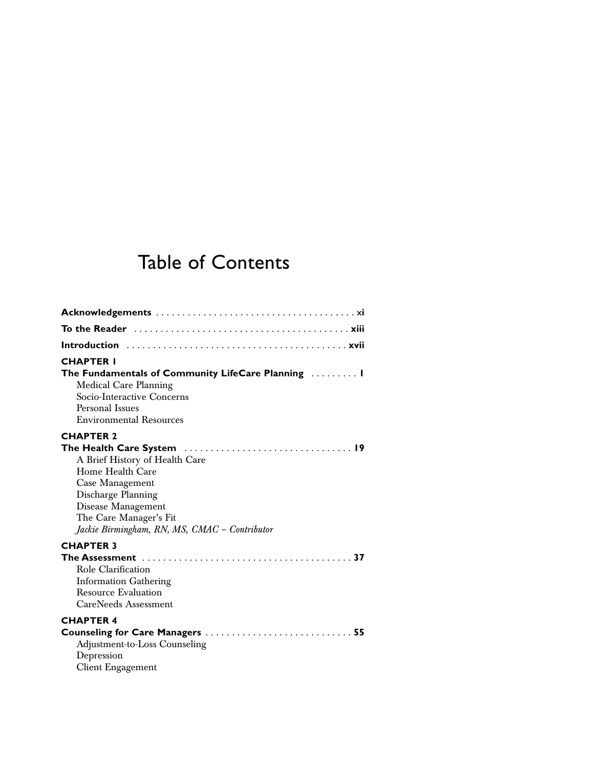## Table of Contents

| <b>CHAPTER I</b><br>The Fundamentals of Community LifeCare Planning  I<br><b>Medical Care Planning</b><br>Socio-Interactive Concerns<br>Personal Issues<br><b>Environmental Resources</b><br><b>CHAPTER 2</b>                           |
|-----------------------------------------------------------------------------------------------------------------------------------------------------------------------------------------------------------------------------------------|
| A Brief History of Health Care<br>Home Health Care<br>Case Management<br>Discharge Planning<br>Disease Management<br>The Care Manager's Fit<br>Jackie Birmingham, RN, MS, CMAC - Contributor                                            |
| <b>CHAPTER 3</b><br>The Assessment $\ldots \ldots \ldots \ldots \ldots \ldots \ldots \ldots \ldots \ldots \ldots \ldots 37$<br>Role Clarification<br><b>Information Gathering</b><br><b>Resource Evaluation</b><br>CareNeeds Assessment |
| <b>CHAPTER 4</b><br>Counseling for Care Managers  55<br>Adjustment-to-Loss Counseling<br>Depression<br><b>Client Engagement</b>                                                                                                         |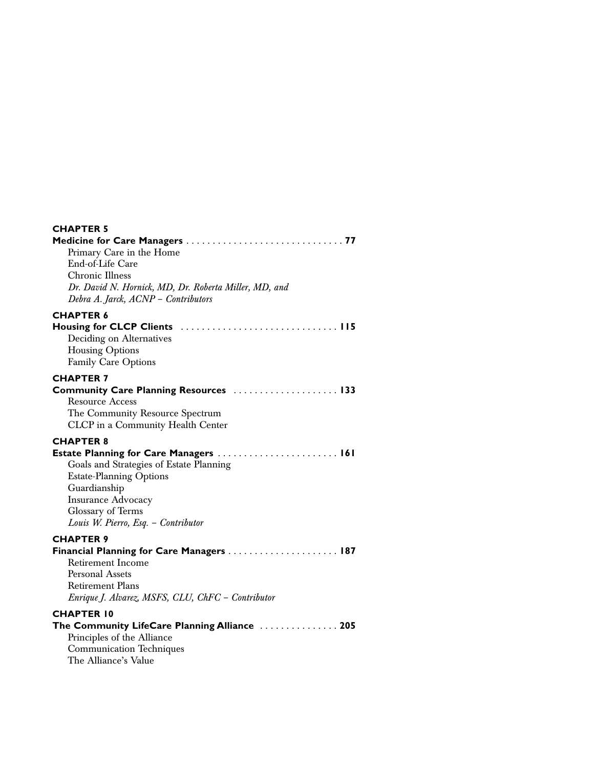## **CHAPTER 5**

| Primary Care in the Home                                |
|---------------------------------------------------------|
| End-of-Life Care                                        |
| <b>Chronic Illness</b>                                  |
| Dr. David N. Hornick, MD, Dr. Roberta Miller, MD, and   |
| Debra A. Jarck, ACNP - Contributors                     |
| <b>CHAPTER 6</b>                                        |
|                                                         |
| Deciding on Alternatives                                |
| <b>Housing Options</b>                                  |
| Family Care Options                                     |
| <b>CHAPTER 7</b>                                        |
| Community Care Planning Resources  133                  |
| <b>Resource Access</b>                                  |
| The Community Resource Spectrum                         |
| CLCP in a Community Health Center                       |
|                                                         |
| <b>CHAPTER 8</b>                                        |
| Estate Planning for Care Managers  161                  |
| Goals and Strategies of Estate Planning                 |
| <b>Estate-Planning Options</b>                          |
| Guardianship                                            |
| <b>Insurance Advocacy</b>                               |
| Glossary of Terms                                       |
| Louis W. Pierro, Esq. - Contributor                     |
| <b>CHAPTER 9</b>                                        |
| Financial Planning for Care Managers  187               |
| <b>Retirement Income</b>                                |
| Personal Assets                                         |
| <b>Retirement Plans</b>                                 |
| Enrique J. Alvarez, MSFS, CLU, ChFC - Contributor       |
|                                                         |
|                                                         |
| <b>CHAPTER 10</b>                                       |
| The Community LifeCare Planning Alliance  205           |
| Principles of the Alliance                              |
| <b>Communication Techniques</b><br>The Alliance's Value |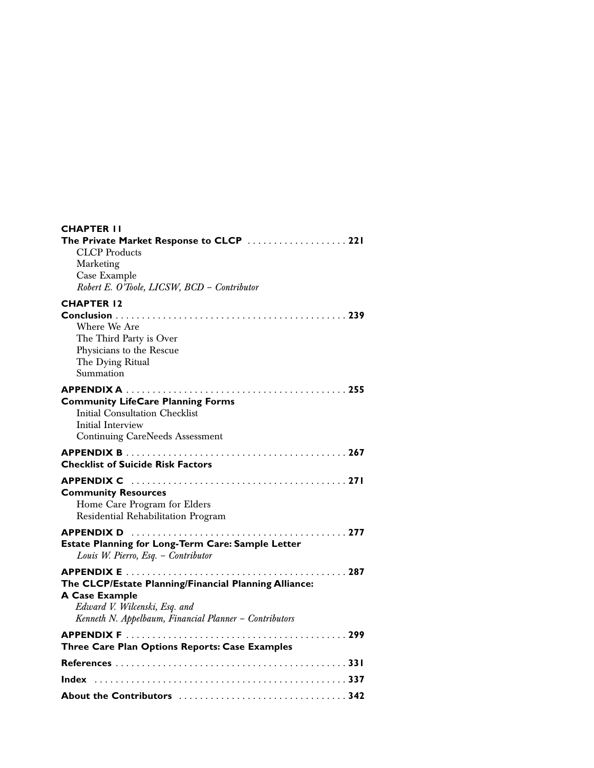## **CHAPTER 11 The Private Market Response to CLCP** . . . . . . . . . . . . . . . . . . . **221** CLCP Products Marketing Case Example *Robert E. O'Toole, LICSW, BCD – Contributor* **CHAPTER 12 Conclusion** . . . . . . . . . . . . . . . . . . . . . . . . . . . . . . . . . . . . . . . . . . . . **239** Where We Are The Third Party is Over Physicians to the Rescue The Dying Ritual Summation **APPENDIX A** . . . . . . . . . . . . . . . . . . . . . . . . . . . . . . . . . . . . . . . . . . **255 Community LifeCare Planning Forms** Initial Consultation Checklist Initial Interview Continuing CareNeeds Assessment **APPENDIX B** . . . . . . . . . . . . . . . . . . . . . . . . . . . . . . . . . . . . . . . . . . **267 Checklist of Suicide Risk Factors APPENDIX C** . . . . . . . . . . . . . . . . . . . . . . . . . . . . . . . . . . . . . . . . . **271 Community Resources** Home Care Program for Elders Residential Rehabilitation Program **APPENDIX D** . . . . . . . . . . . . . . . . . . . . . . . . . . . . . . . . . . . . . . . . . **277 Estate Planning for Long-Term Care: Sample Letter** *Louis W. Pierro, Esq. – Contributor* **APPENDIX E** . . . . . . . . . . . . . . . . . . . . . . . . . . . . . . . . . . . . . . . . . . **287 The CLCP/Estate Planning/Financial Planning Alliance: A Case Example** *Edward V. Wilcenski, Esq. and Kenneth N. Appelbaum, Financial Planner – Contributors* **APPENDIX F** . . . . . . . . . . . . . . . . . . . . . . . . . . . . . . . . . . . . . . . . . . **299 Three Care Plan Options Reports: Case Examples References** . . . . . . . . . . . . . . . . . . . . . . . . . . . . . . . . . . . . . . . . . . . . **331 Index** . . . . . . . . . . . . . . . . . . . . . . . . . . . . . . . . . . . . . . . . . . . . . . . . **337 About the Contributors** . . . . . . . . . . . . . . . . . . . . . . . . . . . . . . . . **342**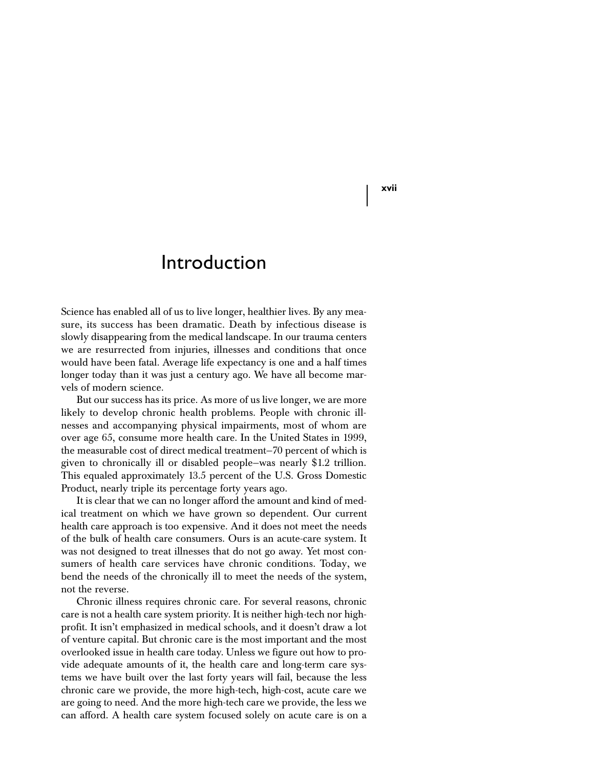## Introduction

Science has enabled all of us to live longer, healthier lives. By any measure, its success has been dramatic. Death by infectious disease is slowly disappearing from the medical landscape. In our trauma centers we are resurrected from injuries, illnesses and conditions that once would have been fatal. Average life expectancy is one and a half times longer today than it was just a century ago. We have all become marvels of modern science.

But our success has its price. As more of us live longer, we are more likely to develop chronic health problems. People with chronic illnesses and accompanying physical impairments, most of whom are over age 65, consume more health care. In the United States in 1999, the measurable cost of direct medical treatment—70 percent of which is given to chronically ill or disabled people—was nearly \$1.2 trillion. This equaled approximately 13.5 percent of the U.S. Gross Domestic Product, nearly triple its percentage forty years ago.

It is clear that we can no longer afford the amount and kind of medical treatment on which we have grown so dependent. Our current health care approach is too expensive. And it does not meet the needs of the bulk of health care consumers. Ours is an acute-care system. It was not designed to treat illnesses that do not go away. Yet most consumers of health care services have chronic conditions. Today, we bend the needs of the chronically ill to meet the needs of the system, not the reverse.

Chronic illness requires chronic care. For several reasons, chronic care is not a health care system priority. It is neither high-tech nor highprofit. It isn't emphasized in medical schools, and it doesn't draw a lot of venture capital. But chronic care is the most important and the most overlooked issue in health care today. Unless we figure out how to provide adequate amounts of it, the health care and long-term care systems we have built over the last forty years will fail, because the less chronic care we provide, the more high-tech, high-cost, acute care we are going to need. And the more high-tech care we provide, the less we can afford. A health care system focused solely on acute care is on a **xvii**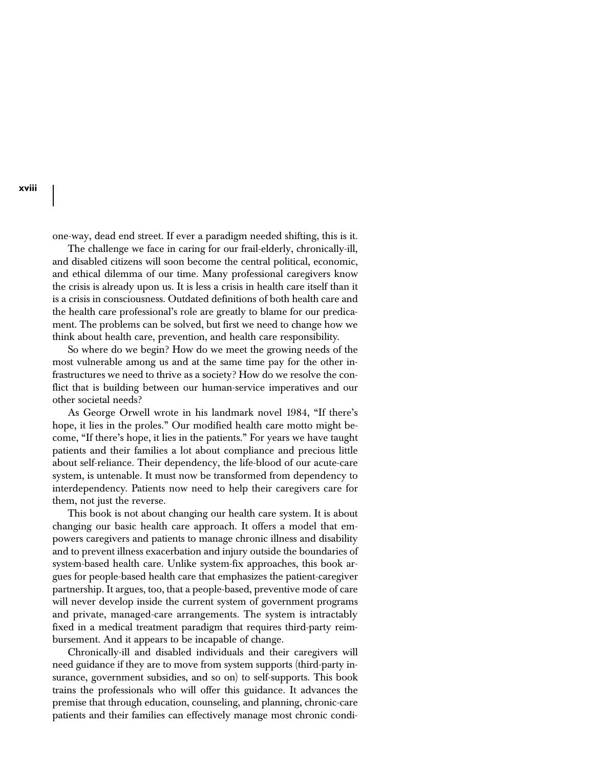one-way, dead end street. If ever a paradigm needed shifting, this is it.

The challenge we face in caring for our frail-elderly, chronically-ill, and disabled citizens will soon become the central political, economic, and ethical dilemma of our time. Many professional caregivers know the crisis is already upon us. It is less a crisis in health care itself than it is a crisis in consciousness. Outdated definitions of both health care and the health care professional's role are greatly to blame for our predicament. The problems can be solved, but first we need to change how we think about health care, prevention, and health care responsibility.

So where do we begin? How do we meet the growing needs of the most vulnerable among us and at the same time pay for the other infrastructures we need to thrive as a society? How do we resolve the conflict that is building between our human-service imperatives and our other societal needs?

As George Orwell wrote in his landmark novel 1984, "If there's hope, it lies in the proles." Our modified health care motto might become, "If there's hope, it lies in the patients." For years we have taught patients and their families a lot about compliance and precious little about self-reliance. Their dependency, the life-blood of our acute-care system, is untenable. It must now be transformed from dependency to interdependency. Patients now need to help their caregivers care for them, not just the reverse.

This book is not about changing our health care system. It is about changing our basic health care approach. It offers a model that empowers caregivers and patients to manage chronic illness and disability and to prevent illness exacerbation and injury outside the boundaries of system-based health care. Unlike system-fix approaches, this book argues for people-based health care that emphasizes the patient-caregiver partnership. It argues, too, that a people-based, preventive mode of care will never develop inside the current system of government programs and private, managed-care arrangements. The system is intractably fixed in a medical treatment paradigm that requires third-party reimbursement. And it appears to be incapable of change.

Chronically-ill and disabled individuals and their caregivers will need guidance if they are to move from system supports (third-party insurance, government subsidies, and so on) to self-supports. This book trains the professionals who will offer this guidance. It advances the premise that through education, counseling, and planning, chronic-care patients and their families can effectively manage most chronic condi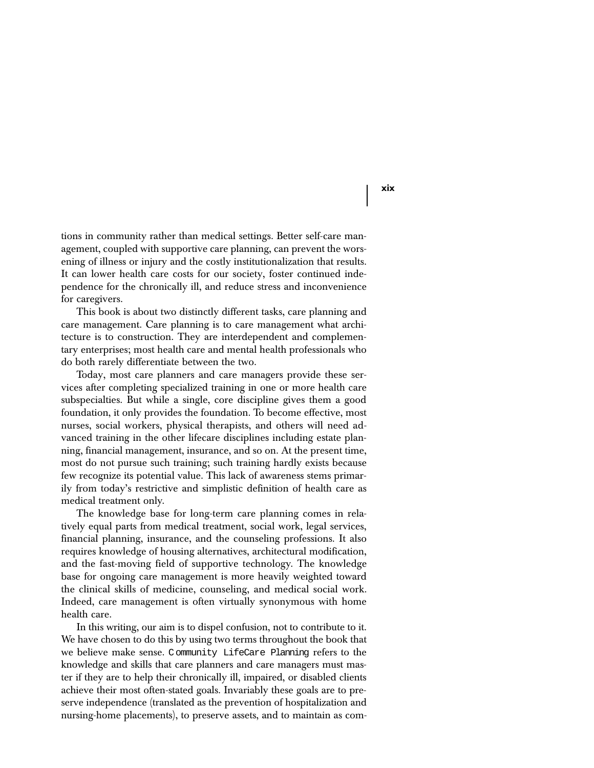tions in community rather than medical settings. Better self-care management, coupled with supportive care planning, can prevent the worsening of illness or injury and the costly institutionalization that results. It can lower health care costs for our society, foster continued independence for the chronically ill, and reduce stress and inconvenience for caregivers.

This book is about two distinctly different tasks, care planning and care management. Care planning is to care management what architecture is to construction. They are interdependent and complementary enterprises; most health care and mental health professionals who do both rarely differentiate between the two.

Today, most care planners and care managers provide these services after completing specialized training in one or more health care subspecialties. But while a single, core discipline gives them a good foundation, it only provides the foundation. To become effective, most nurses, social workers, physical therapists, and others will need advanced training in the other lifecare disciplines including estate planning, financial management, insurance, and so on. At the present time, most do not pursue such training; such training hardly exists because few recognize its potential value. This lack of awareness stems primarily from today's restrictive and simplistic definition of health care as medical treatment only.

The knowledge base for long-term care planning comes in relatively equal parts from medical treatment, social work, legal services, financial planning, insurance, and the counseling professions. It also requires knowledge of housing alternatives, architectural modification, and the fast-moving field of supportive technology. The knowledge base for ongoing care management is more heavily weighted toward the clinical skills of medicine, counseling, and medical social work. Indeed, care management is often virtually synonymous with home health care.

In this writing, our aim is to dispel confusion, not to contribute to it. We have chosen to do this by using two terms throughout the book that we believe make sense. C ommunity LifeCare Planning refers to the knowledge and skills that care planners and care managers must master if they are to help their chronically ill, impaired, or disabled clients achieve their most often-stated goals. Invariably these goals are to preserve independence (translated as the prevention of hospitalization and nursing-home placements), to preserve assets, and to maintain as com-

#### **xix**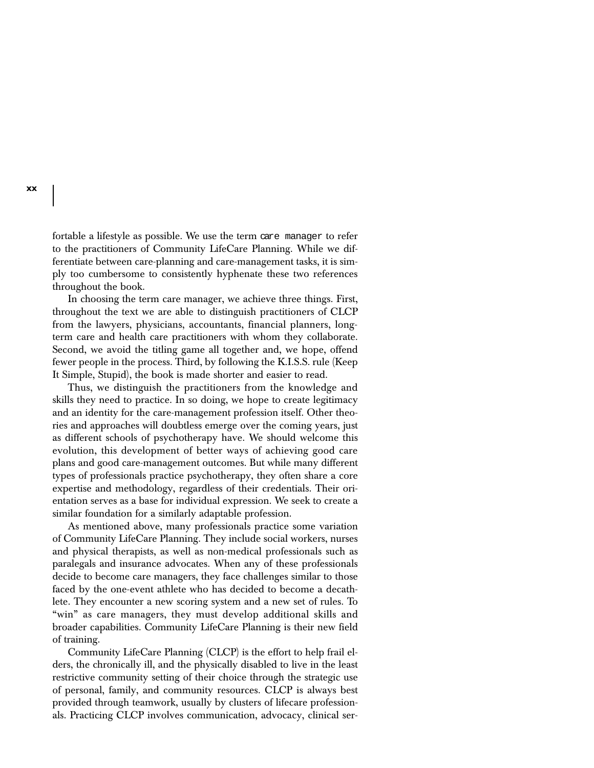fortable a lifestyle as possible. We use the term care manager to refer to the practitioners of Community LifeCare Planning. While we differentiate between care-planning and care-management tasks, it is simply too cumbersome to consistently hyphenate these two references throughout the book.

In choosing the term care manager, we achieve three things. First, throughout the text we are able to distinguish practitioners of CLCP from the lawyers, physicians, accountants, financial planners, longterm care and health care practitioners with whom they collaborate. Second, we avoid the titling game all together and, we hope, offend fewer people in the process. Third, by following the K.I.S.S. rule (Keep It Simple, Stupid), the book is made shorter and easier to read.

Thus, we distinguish the practitioners from the knowledge and skills they need to practice. In so doing, we hope to create legitimacy and an identity for the care-management profession itself. Other theories and approaches will doubtless emerge over the coming years, just as different schools of psychotherapy have. We should welcome this evolution, this development of better ways of achieving good care plans and good care-management outcomes. But while many different types of professionals practice psychotherapy, they often share a core expertise and methodology, regardless of their credentials. Their orientation serves as a base for individual expression. We seek to create a similar foundation for a similarly adaptable profession.

As mentioned above, many professionals practice some variation of Community LifeCare Planning. They include social workers, nurses and physical therapists, as well as non-medical professionals such as paralegals and insurance advocates. When any of these professionals decide to become care managers, they face challenges similar to those faced by the one-event athlete who has decided to become a decathlete. They encounter a new scoring system and a new set of rules. To "win" as care managers, they must develop additional skills and broader capabilities. Community LifeCare Planning is their new field of training.

Community LifeCare Planning (CLCP) is the effort to help frail elders, the chronically ill, and the physically disabled to live in the least restrictive community setting of their choice through the strategic use of personal, family, and community resources. CLCP is always best provided through teamwork, usually by clusters of lifecare professionals. Practicing CLCP involves communication, advocacy, clinical ser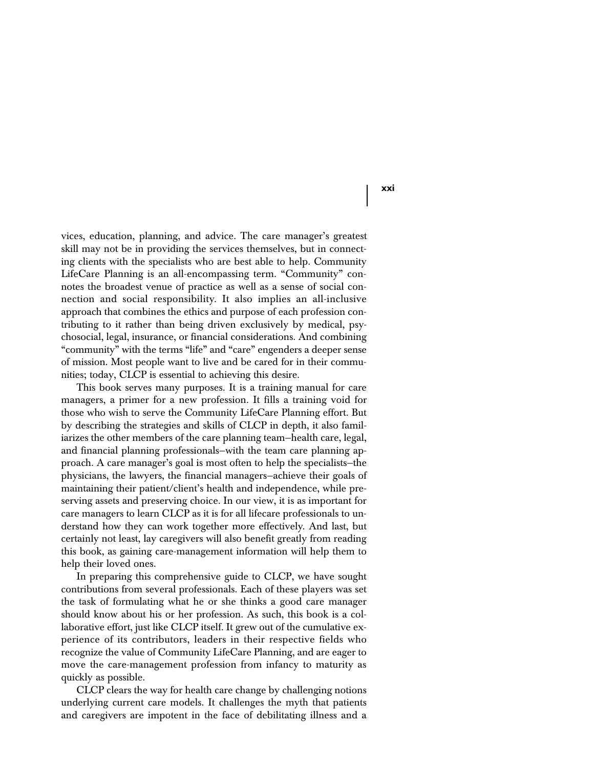vices, education, planning, and advice. The care manager's greatest skill may not be in providing the services themselves, but in connecting clients with the specialists who are best able to help. Community LifeCare Planning is an all-encompassing term. "Community" connotes the broadest venue of practice as well as a sense of social connection and social responsibility. It also implies an all-inclusive approach that combines the ethics and purpose of each profession contributing to it rather than being driven exclusively by medical, psychosocial, legal, insurance, or financial considerations. And combining "community" with the terms "life" and "care" engenders a deeper sense of mission. Most people want to live and be cared for in their communities; today, CLCP is essential to achieving this desire.

This book serves many purposes. It is a training manual for care managers, a primer for a new profession. It fills a training void for those who wish to serve the Community LifeCare Planning effort. But by describing the strategies and skills of CLCP in depth, it also familiarizes the other members of the care planning team—health care, legal, and financial planning professionals—with the team care planning approach. A care manager's goal is most often to help the specialists—the physicians, the lawyers, the financial managers—achieve their goals of maintaining their patient/client's health and independence, while preserving assets and preserving choice. In our view, it is as important for care managers to learn CLCP as it is for all lifecare professionals to understand how they can work together more effectively. And last, but certainly not least, lay caregivers will also benefit greatly from reading this book, as gaining care-management information will help them to help their loved ones.

In preparing this comprehensive guide to CLCP, we have sought contributions from several professionals. Each of these players was set the task of formulating what he or she thinks a good care manager should know about his or her profession. As such, this book is a collaborative effort, just like CLCP itself. It grew out of the cumulative experience of its contributors, leaders in their respective fields who recognize the value of Community LifeCare Planning, and are eager to move the care-management profession from infancy to maturity as quickly as possible.

CLCP clears the way for health care change by challenging notions underlying current care models. It challenges the myth that patients and caregivers are impotent in the face of debilitating illness and a

### **xxi**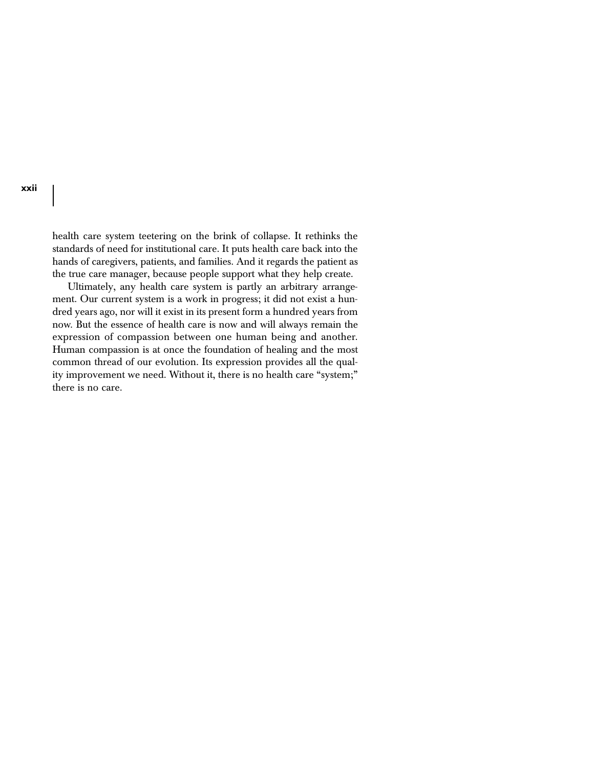**xxii**

health care system teetering on the brink of collapse. It rethinks the standards of need for institutional care. It puts health care back into the hands of caregivers, patients, and families. And it regards the patient as the true care manager, because people support what they help create.

Ultimately, any health care system is partly an arbitrary arrangement. Our current system is a work in progress; it did not exist a hundred years ago, nor will it exist in its present form a hundred years from now. But the essence of health care is now and will always remain the expression of compassion between one human being and another. Human compassion is at once the foundation of healing and the most common thread of our evolution. Its expression provides all the quality improvement we need. Without it, there is no health care "system;" there is no care.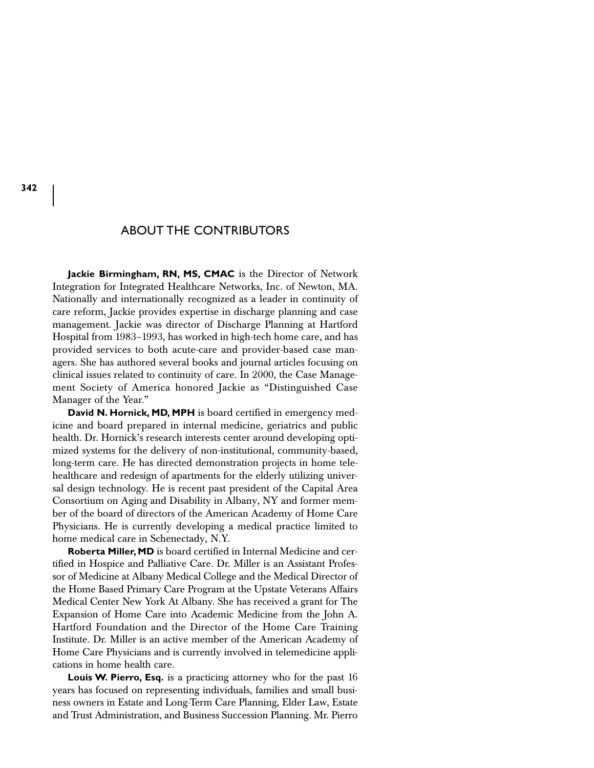## ABOUT THE CONTRIBUTORS

**Jackie Birmingham, RN, MS, CMAC** is the Director of Network Integration for Integrated Healthcare Networks, Inc. of Newton, MA. Nationally and internationally recognized as a leader in continuity of care reform, Jackie provides expertise in discharge planning and case management. Jackie was director of Discharge Planning at Hartford Hospital from 1983–1993, has worked in high-tech home care, and has provided services to both acute-care and provider-based case managers. She has authored several books and journal articles focusing on clinical issues related to continuity of care. In 2000, the Case Management Society of America honored Jackie as "Distinguished Case Manager of the Year."

**David N. Hornick, MD, MPH** is board certified in emergency medicine and board prepared in internal medicine, geriatrics and public health. Dr. Hornick's research interests center around developing optimized systems for the delivery of non-institutional, community-based, long-term care. He has directed demonstration projects in home telehealthcare and redesign of apartments for the elderly utilizing universal design technology. He is recent past president of the Capital Area Consortium on Aging and Disability in Albany, NY and former member of the board of directors of the American Academy of Home Care Physicians. He is currently developing a medical practice limited to home medical care in Schenectady, N.Y.

**Roberta Miller, MD** is board certified in Internal Medicine and certified in Hospice and Palliative Care. Dr. Miller is an Assistant Professor of Medicine at Albany Medical College and the Medical Director of the Home Based Primary Care Program at the Upstate Veterans Affairs Medical Center New York At Albany. She has received a grant for The Expansion of Home Care into Academic Medicine from the John A. Hartford Foundation and the Director of the Home Care Training Institute. Dr. Miller is an active member of the American Academy of Home Care Physicians and is currently involved in telemedicine applications in home health care.

**Louis W. Pierro, Esq.** is a practicing attorney who for the past 16 years has focused on representing individuals, families and small business owners in Estate and Long-Term Care Planning, Elder Law, Estate and Trust Administration, and Business Succession Planning. Mr. Pierro